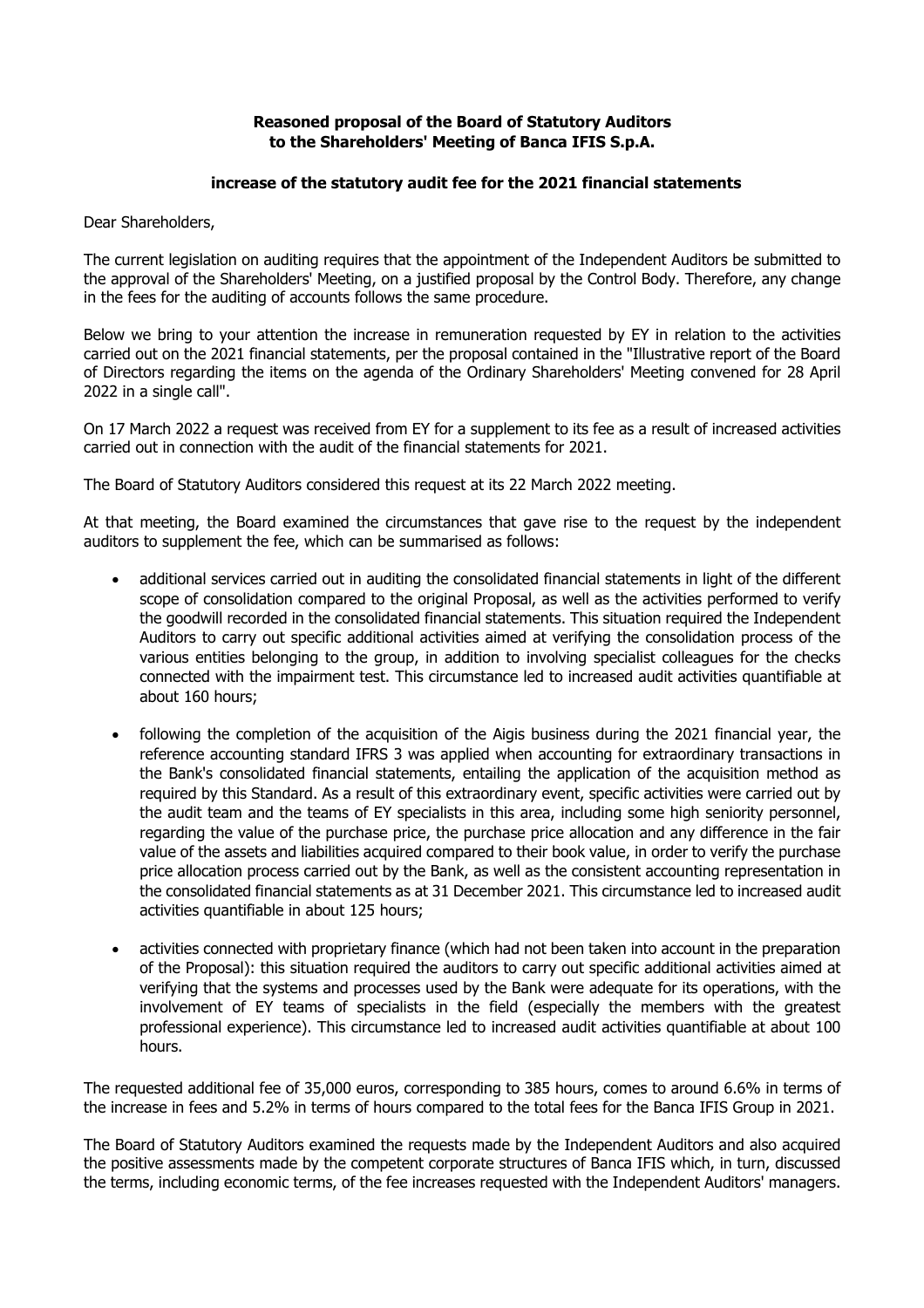## **Reasoned proposal of the Board of Statutory Auditors to the Shareholders' Meeting of Banca IFIS S.p.A.**

## **increase of the statutory audit fee for the 2021 financial statements**

Dear Shareholders,

The current legislation on auditing requires that the appointment of the Independent Auditors be submitted to the approval of the Shareholders' Meeting, on a justified proposal by the Control Body. Therefore, any change in the fees for the auditing of accounts follows the same procedure.

Below we bring to your attention the increase in remuneration requested by EY in relation to the activities carried out on the 2021 financial statements, per the proposal contained in the "Illustrative report of the Board of Directors regarding the items on the agenda of the Ordinary Shareholders' Meeting convened for 28 April 2022 in a single call".

On 17 March 2022 a request was received from EY for a supplement to its fee as a result of increased activities carried out in connection with the audit of the financial statements for 2021.

The Board of Statutory Auditors considered this request at its 22 March 2022 meeting.

At that meeting, the Board examined the circumstances that gave rise to the request by the independent auditors to supplement the fee, which can be summarised as follows:

- additional services carried out in auditing the consolidated financial statements in light of the different scope of consolidation compared to the original Proposal, as well as the activities performed to verify the goodwill recorded in the consolidated financial statements. This situation required the Independent Auditors to carry out specific additional activities aimed at verifying the consolidation process of the various entities belonging to the group, in addition to involving specialist colleagues for the checks connected with the impairment test. This circumstance led to increased audit activities quantifiable at about 160 hours;
- following the completion of the acquisition of the Aigis business during the 2021 financial year, the reference accounting standard IFRS 3 was applied when accounting for extraordinary transactions in the Bank's consolidated financial statements, entailing the application of the acquisition method as required by this Standard. As a result of this extraordinary event, specific activities were carried out by the audit team and the teams of EY specialists in this area, including some high seniority personnel, regarding the value of the purchase price, the purchase price allocation and any difference in the fair value of the assets and liabilities acquired compared to their book value, in order to verify the purchase price allocation process carried out by the Bank, as well as the consistent accounting representation in the consolidated financial statements as at 31 December 2021. This circumstance led to increased audit activities quantifiable in about 125 hours;
- activities connected with proprietary finance (which had not been taken into account in the preparation of the Proposal): this situation required the auditors to carry out specific additional activities aimed at verifying that the systems and processes used by the Bank were adequate for its operations, with the involvement of EY teams of specialists in the field (especially the members with the greatest professional experience). This circumstance led to increased audit activities quantifiable at about 100 hours.

The requested additional fee of 35,000 euros, corresponding to 385 hours, comes to around 6.6% in terms of the increase in fees and 5.2% in terms of hours compared to the total fees for the Banca IFIS Group in 2021.

The Board of Statutory Auditors examined the requests made by the Independent Auditors and also acquired the positive assessments made by the competent corporate structures of Banca IFIS which, in turn, discussed the terms, including economic terms, of the fee increases requested with the Independent Auditors' managers.